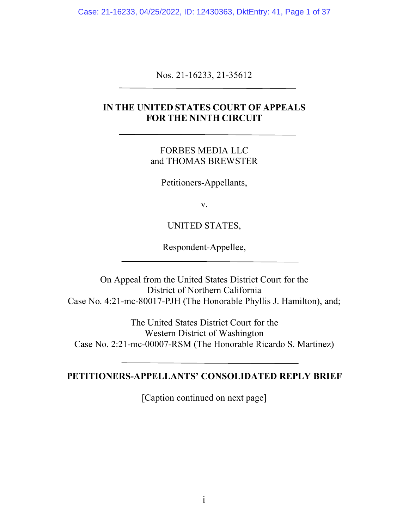Case: 21-16233, 04/25/2022, ID: 12430363, DktEntry: 41, Page 1 of 37

Nos. 21-16233, 21-35612

## **IN THE UNITED STATES COURT OF APPEALS FOR THE NINTH CIRCUIT**

FORBES MEDIA LLC and THOMAS BREWSTER

Petitioners-Appellants,

v.

### UNITED STATES,

Respondent-Appellee,

On Appeal from the United States District Court for the District of Northern California Case No. 4:21-mc-80017-PJH (The Honorable Phyllis J. Hamilton), and;

The United States District Court for the Western District of Washington Case No. 2:21-mc-00007-RSM (The Honorable Ricardo S. Martinez)

## **PETITIONERS-APPELLANTS' CONSOLIDATED REPLY BRIEF**

[Caption continued on next page]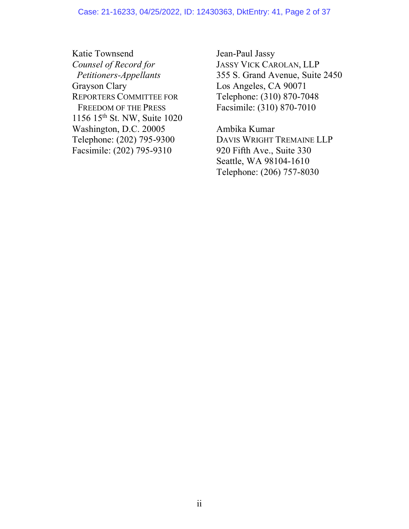#### Case: 21-16233, 04/25/2022, ID: 12430363, DktEntry: 41, Page 2 of 37

Katie Townsend Jean-Paul Jassy *Counsel of Record for* JASSY VICK CAROLAN, LLP Grayson Clary Los Angeles, CA 90071 REPORTERS COMMITTEE FOR Telephone: (310) 870-7048 FREEDOM OF THE PRESS Facsimile: (310) 870-7010 1156 15th St. NW, Suite 1020 Washington, D.C. 20005 Ambika Kumar Facsimile: (202) 795-9310 920 Fifth Ave., Suite 330

 *Petitioners-Appellants* 355 S. Grand Avenue, Suite 2450

Telephone: (202) 795-9300 DAVIS WRIGHT TREMAINE LLP Seattle, WA 98104-1610 Telephone: (206) 757-8030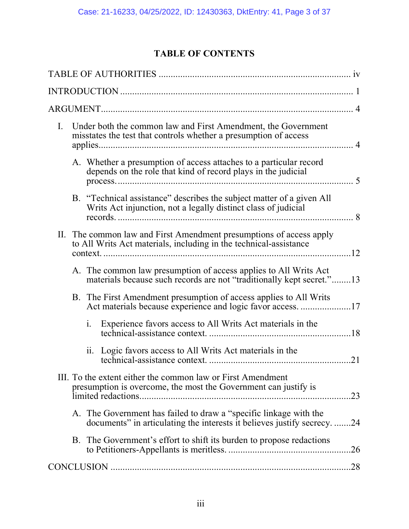# **TABLE OF CONTENTS**

| $I_{\cdot}$ | Under both the common law and First Amendment, the Government<br>misstates the test that controls whether a presumption of access |                                                                                                                                               |     |
|-------------|-----------------------------------------------------------------------------------------------------------------------------------|-----------------------------------------------------------------------------------------------------------------------------------------------|-----|
|             |                                                                                                                                   | A. Whether a presumption of access attaches to a particular record<br>depends on the role that kind of record plays in the judicial           |     |
|             |                                                                                                                                   | B. "Technical assistance" describes the subject matter of a given All<br>Writs Act injunction, not a legally distinct class of judicial       |     |
|             |                                                                                                                                   | II. The common law and First Amendment presumptions of access apply<br>to All Writs Act materials, including in the technical-assistance      | 12  |
|             |                                                                                                                                   | A. The common law presumption of access applies to All Writs Act<br>materials because such records are not "traditionally kept secret."13     |     |
|             |                                                                                                                                   | B. The First Amendment presumption of access applies to All Writs<br>Act materials because experience and logic favor access. 17              |     |
|             |                                                                                                                                   | Experience favors access to All Writs Act materials in the<br>1.                                                                              |     |
|             |                                                                                                                                   | Logic favors access to All Writs Act materials in the<br>$\overline{11}$ .                                                                    | .21 |
|             |                                                                                                                                   | III. To the extent either the common law or First Amendment<br>presumption is overcome, the most the Government can justify is                | .23 |
|             |                                                                                                                                   | A. The Government has failed to draw a "specific linkage with the<br>documents" in articulating the interests it believes justify secrecy. 24 |     |
|             |                                                                                                                                   | B. The Government's effort to shift its burden to propose redactions                                                                          | .26 |
|             |                                                                                                                                   |                                                                                                                                               |     |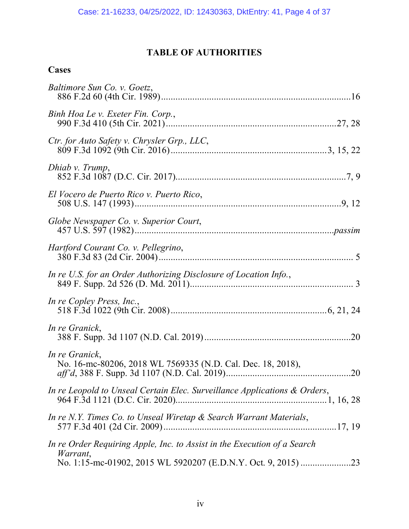# **TABLE OF AUTHORITIES**

# **Cases**

| Baltimore Sun Co. v. Goetz,                                                          |     |
|--------------------------------------------------------------------------------------|-----|
| Binh Hoa Le v. Exeter Fin. Corp.,                                                    |     |
| Ctr. for Auto Safety v. Chrysler Grp., LLC,                                          |     |
| Dhiab v. Trump,                                                                      |     |
| El Vocero de Puerto Rico v. Puerto Rico,                                             |     |
| Globe Newspaper Co. v. Superior Court,                                               |     |
| Hartford Courant Co. v. Pellegrino,<br>380 F.3d 83 (2d Cir. 2004).                   |     |
| In re U.S. for an Order Authorizing Disclosure of Location Info.,                    |     |
| In re Copley Press, Inc.,                                                            |     |
| In re Granick,                                                                       |     |
| In re Granick,<br>No. 16-mc-80206, 2018 WL 7569335 (N.D. Cal. Dec. 18, 2018),        | .20 |
| In re Leopold to Unseal Certain Elec. Surveillance Applications & Orders,            |     |
| In re N.Y. Times Co. to Unseal Wiretap & Search Warrant Materials,                   |     |
| In re Order Requiring Apple, Inc. to Assist in the Execution of a Search<br>Warrant, |     |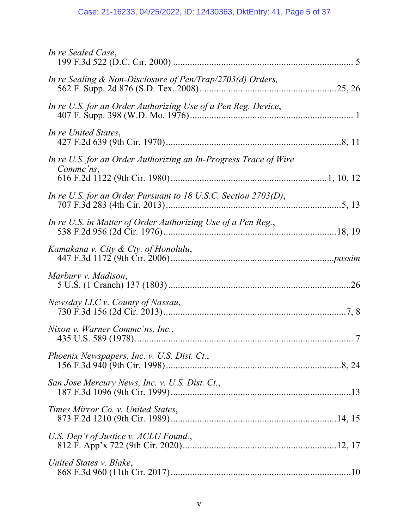# Case: 21-16233, 04/25/2022, ID: 12430363, DktEntry: 41, Page 5 of 37

| In re Sealed Case,                                                            |  |
|-------------------------------------------------------------------------------|--|
| In re Sealing $\&$ Non-Disclosure of Pen/Trap/2703(d) Orders,                 |  |
| In re U.S. for an Order Authorizing Use of a Pen Reg. Device,                 |  |
| In re United States,                                                          |  |
| In re U.S. for an Order Authorizing an In-Progress Trace of Wire<br>Comme'ns, |  |
| In re U.S. for an Order Pursuant to 18 U.S.C. Section 2703(D),                |  |
| In re U.S. in Matter of Order Authorizing Use of a Pen Reg.,                  |  |
| Kamakana v. City & Cty. of Honolulu,                                          |  |
| Marbury v. Madison,                                                           |  |
| Newsday LLC v. County of Nassau,                                              |  |
| Nixon v. Warner Commc'ns, Inc.,                                               |  |
| Phoenix Newspapers, Inc. v. U.S. Dist. Ct.,                                   |  |
| San Jose Mercury News, Inc. v. U.S. Dist. Ct.,                                |  |
| Times Mirror Co. v. United States,                                            |  |
| U.S. Dep't of Justice v. ACLU Found.,                                         |  |
| United States v. Blake,                                                       |  |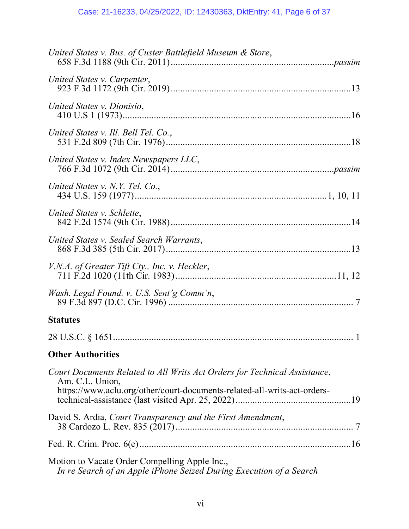| United States v. Bus. of Custer Battlefield Museum & Store,                                                                                                              |
|--------------------------------------------------------------------------------------------------------------------------------------------------------------------------|
| United States v. Carpenter,                                                                                                                                              |
| United States v. Dionisio,                                                                                                                                               |
| United States v. Ill. Bell Tel. Co.,                                                                                                                                     |
| United States v. Index Newspapers LLC,                                                                                                                                   |
| United States v. N.Y. Tel. Co.,                                                                                                                                          |
| United States v. Schlette,                                                                                                                                               |
| United States v. Sealed Search Warrants,                                                                                                                                 |
| V.N.A. of Greater Tift Cty., Inc. v. Heckler,                                                                                                                            |
| Wash. Legal Found. v. U.S. Sent'g Comm'n,                                                                                                                                |
| <b>Statutes</b>                                                                                                                                                          |
|                                                                                                                                                                          |
| <b>Other Authorities</b>                                                                                                                                                 |
| Court Documents Related to All Writs Act Orders for Technical Assistance,<br>Am. C.L. Union,<br>https://www.aclu.org/other/court-documents-related-all-writs-act-orders- |
| David S. Ardia, Court Transparency and the First Amendment,                                                                                                              |
|                                                                                                                                                                          |
| Motion to Vacate Order Compelling Apple Inc.,<br>In re Search of an Apple iPhone Seized During Execution of a Search                                                     |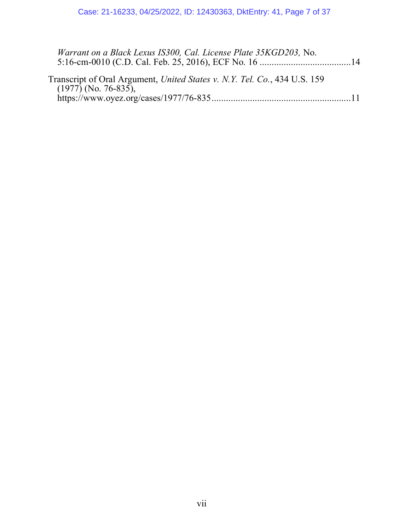| Warrant on a Black Lexus IS300, Cal. License Plate 35KGD203, No.                                    |  |
|-----------------------------------------------------------------------------------------------------|--|
| Transcript of Oral Argument, United States v. N.Y. Tel. Co., 434 U.S. 159<br>$(1977)$ (No. 76-835), |  |
|                                                                                                     |  |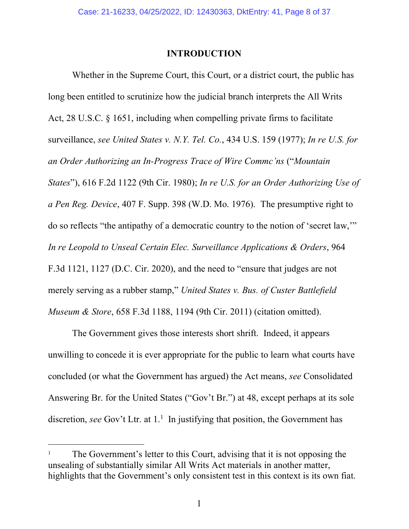### **INTRODUCTION**

Whether in the Supreme Court, this Court, or a district court, the public has long been entitled to scrutinize how the judicial branch interprets the All Writs Act, 28 U.S.C. § 1651, including when compelling private firms to facilitate surveillance, *see United States v. N.Y. Tel. Co.*, 434 U.S. 159 (1977); *In re U.S. for an Order Authorizing an In-Progress Trace of Wire Commc'ns* ("*Mountain States*"), 616 F.2d 1122 (9th Cir. 1980); *In re U.S. for an Order Authorizing Use of a Pen Reg. Device*, 407 F. Supp. 398 (W.D. Mo. 1976). The presumptive right to do so reflects "the antipathy of a democratic country to the notion of 'secret law,'" *In re Leopold to Unseal Certain Elec. Surveillance Applications & Orders*, 964 F.3d 1121, 1127 (D.C. Cir. 2020), and the need to "ensure that judges are not merely serving as a rubber stamp," *United States v. Bus. of Custer Battlefield Museum & Store*, 658 F.3d 1188, 1194 (9th Cir. 2011) (citation omitted).

The Government gives those interests short shrift. Indeed, it appears unwilling to concede it is ever appropriate for the public to learn what courts have concluded (or what the Government has argued) the Act means, *see* Consolidated Answering Br. for the United States ("Gov't Br.") at 48, except perhaps at its sole discretion, *see* Gov't Ltr. at 1.<sup>1</sup> In justifying that position, the Government has

<sup>1</sup> The Government's letter to this Court, advising that it is not opposing the unsealing of substantially similar All Writs Act materials in another matter, highlights that the Government's only consistent test in this context is its own fiat.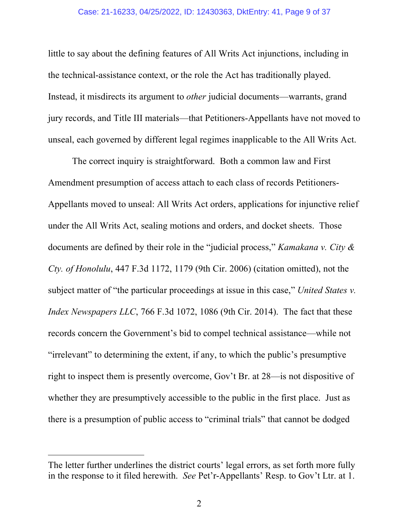#### Case: 21-16233, 04/25/2022, ID: 12430363, DktEntry: 41, Page 9 of 37

little to say about the defining features of All Writs Act injunctions, including in the technical-assistance context, or the role the Act has traditionally played. Instead, it misdirects its argument to *other* judicial documents—warrants, grand jury records, and Title III materials—that Petitioners-Appellants have not moved to unseal, each governed by different legal regimes inapplicable to the All Writs Act.

The correct inquiry is straightforward. Both a common law and First Amendment presumption of access attach to each class of records Petitioners-Appellants moved to unseal: All Writs Act orders, applications for injunctive relief under the All Writs Act, sealing motions and orders, and docket sheets. Those documents are defined by their role in the "judicial process," *Kamakana v. City & Cty. of Honolulu*, 447 F.3d 1172, 1179 (9th Cir. 2006) (citation omitted), not the subject matter of "the particular proceedings at issue in this case," *United States v. Index Newspapers LLC*, 766 F.3d 1072, 1086 (9th Cir. 2014). The fact that these records concern the Government's bid to compel technical assistance—while not "irrelevant" to determining the extent, if any, to which the public's presumptive right to inspect them is presently overcome, Gov't Br. at 28—is not dispositive of whether they are presumptively accessible to the public in the first place. Just as there is a presumption of public access to "criminal trials" that cannot be dodged

The letter further underlines the district courts' legal errors, as set forth more fully in the response to it filed herewith. *See* Pet'r-Appellants' Resp. to Gov't Ltr. at 1.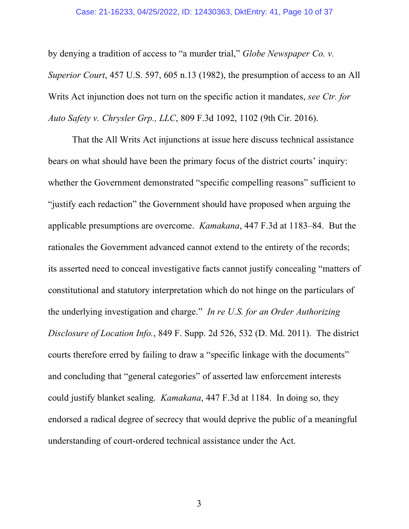#### Case: 21-16233, 04/25/2022, ID: 12430363, DktEntry: 41, Page 10 of 37

by denying a tradition of access to "a murder trial," *Globe Newspaper Co. v. Superior Court*, 457 U.S. 597, 605 n.13 (1982), the presumption of access to an All Writs Act injunction does not turn on the specific action it mandates, *see Ctr. for Auto Safety v. Chrysler Grp., LLC*, 809 F.3d 1092, 1102 (9th Cir. 2016).

That the All Writs Act injunctions at issue here discuss technical assistance bears on what should have been the primary focus of the district courts' inquiry: whether the Government demonstrated "specific compelling reasons" sufficient to "justify each redaction" the Government should have proposed when arguing the applicable presumptions are overcome. *Kamakana*, 447 F.3d at 1183–84. But the rationales the Government advanced cannot extend to the entirety of the records; its asserted need to conceal investigative facts cannot justify concealing "matters of constitutional and statutory interpretation which do not hinge on the particulars of the underlying investigation and charge." *In re U.S. for an Order Authorizing Disclosure of Location Info.*, 849 F. Supp. 2d 526, 532 (D. Md. 2011). The district courts therefore erred by failing to draw a "specific linkage with the documents" and concluding that "general categories" of asserted law enforcement interests could justify blanket sealing. *Kamakana*, 447 F.3d at 1184. In doing so, they endorsed a radical degree of secrecy that would deprive the public of a meaningful understanding of court-ordered technical assistance under the Act.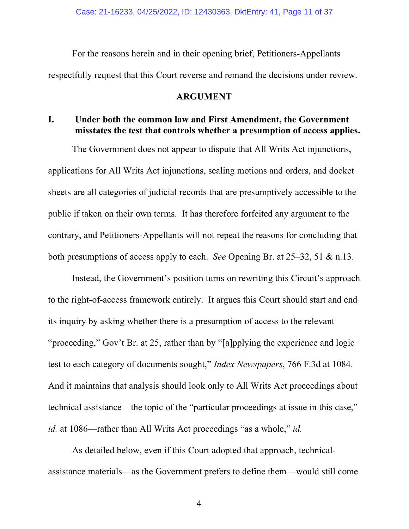For the reasons herein and in their opening brief, Petitioners-Appellants respectfully request that this Court reverse and remand the decisions under review.

### **ARGUMENT**

## **I. Under both the common law and First Amendment, the Government misstates the test that controls whether a presumption of access applies.**

The Government does not appear to dispute that All Writs Act injunctions, applications for All Writs Act injunctions, sealing motions and orders, and docket sheets are all categories of judicial records that are presumptively accessible to the public if taken on their own terms. It has therefore forfeited any argument to the contrary, and Petitioners-Appellants will not repeat the reasons for concluding that both presumptions of access apply to each. *See* Opening Br. at 25–32, 51 & n.13.

Instead, the Government's position turns on rewriting this Circuit's approach to the right-of-access framework entirely. It argues this Court should start and end its inquiry by asking whether there is a presumption of access to the relevant "proceeding," Gov't Br. at 25, rather than by "[a]pplying the experience and logic test to each category of documents sought," *Index Newspapers*, 766 F.3d at 1084. And it maintains that analysis should look only to All Writs Act proceedings about technical assistance—the topic of the "particular proceedings at issue in this case," *id.* at 1086—rather than All Writs Act proceedings "as a whole," *id.*

As detailed below, even if this Court adopted that approach, technicalassistance materials—as the Government prefers to define them—would still come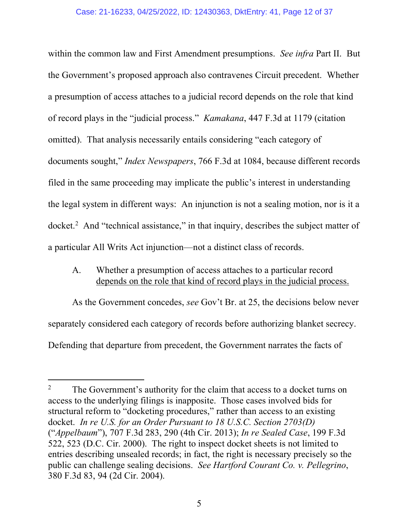within the common law and First Amendment presumptions. *See infra* Part II. But the Government's proposed approach also contravenes Circuit precedent. Whether a presumption of access attaches to a judicial record depends on the role that kind of record plays in the "judicial process." *Kamakana*, 447 F.3d at 1179 (citation omitted). That analysis necessarily entails considering "each category of documents sought," *Index Newspapers*, 766 F.3d at 1084, because different records filed in the same proceeding may implicate the public's interest in understanding the legal system in different ways: An injunction is not a sealing motion, nor is it a docket.<sup>2</sup> And "technical assistance," in that inquiry, describes the subject matter of a particular All Writs Act injunction—not a distinct class of records.

A. Whether a presumption of access attaches to a particular record depends on the role that kind of record plays in the judicial process.

As the Government concedes, *see* Gov't Br. at 25, the decisions below never separately considered each category of records before authorizing blanket secrecy. Defending that departure from precedent, the Government narrates the facts of

<sup>&</sup>lt;sup>2</sup> The Government's authority for the claim that access to a docket turns on access to the underlying filings is inapposite. Those cases involved bids for structural reform to "docketing procedures," rather than access to an existing docket. *In re U.S. for an Order Pursuant to 18 U.S.C. Section 2703(D)* ("*Appelbaum*"), 707 F.3d 283, 290 (4th Cir. 2013); *In re Sealed Case*, 199 F.3d 522, 523 (D.C. Cir. 2000). The right to inspect docket sheets is not limited to entries describing unsealed records; in fact, the right is necessary precisely so the public can challenge sealing decisions. *See Hartford Courant Co. v. Pellegrino*, 380 F.3d 83, 94 (2d Cir. 2004).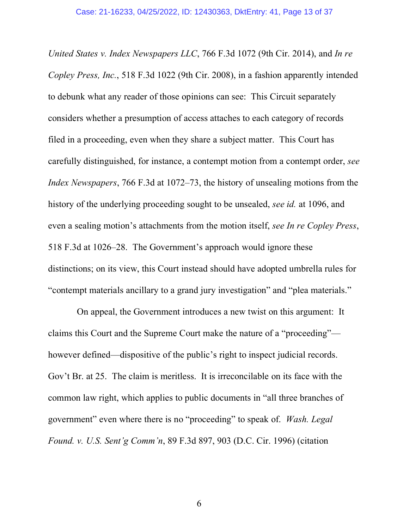*United States v. Index Newspapers LLC*, 766 F.3d 1072 (9th Cir. 2014), and *In re Copley Press, Inc.*, 518 F.3d 1022 (9th Cir. 2008), in a fashion apparently intended to debunk what any reader of those opinions can see: This Circuit separately considers whether a presumption of access attaches to each category of records filed in a proceeding, even when they share a subject matter. This Court has carefully distinguished, for instance, a contempt motion from a contempt order, *see Index Newspapers*, 766 F.3d at 1072–73, the history of unsealing motions from the history of the underlying proceeding sought to be unsealed, *see id.* at 1096, and even a sealing motion's attachments from the motion itself, *see In re Copley Press*, 518 F.3d at 1026–28. The Government's approach would ignore these distinctions; on its view, this Court instead should have adopted umbrella rules for "contempt materials ancillary to a grand jury investigation" and "plea materials."

 On appeal, the Government introduces a new twist on this argument: It claims this Court and the Supreme Court make the nature of a "proceeding" however defined—dispositive of the public's right to inspect judicial records. Gov't Br. at 25. The claim is meritless. It is irreconcilable on its face with the common law right, which applies to public documents in "all three branches of government" even where there is no "proceeding" to speak of. *Wash. Legal Found. v. U.S. Sent'g Comm'n*, 89 F.3d 897, 903 (D.C. Cir. 1996) (citation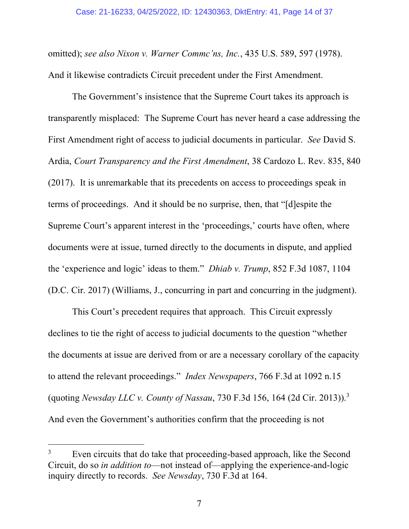omitted); *see also Nixon v. Warner Commc'ns, Inc.*, 435 U.S. 589, 597 (1978). And it likewise contradicts Circuit precedent under the First Amendment.

The Government's insistence that the Supreme Court takes its approach is transparently misplaced: The Supreme Court has never heard a case addressing the First Amendment right of access to judicial documents in particular. *See* David S. Ardia, *Court Transparency and the First Amendment*, 38 Cardozo L. Rev. 835, 840 (2017). It is unremarkable that its precedents on access to proceedings speak in terms of proceedings. And it should be no surprise, then, that "[d]espite the Supreme Court's apparent interest in the 'proceedings,' courts have often, where documents were at issue, turned directly to the documents in dispute, and applied the 'experience and logic' ideas to them." *Dhiab v. Trump*, 852 F.3d 1087, 1104 (D.C. Cir. 2017) (Williams, J., concurring in part and concurring in the judgment).

This Court's precedent requires that approach. This Circuit expressly declines to tie the right of access to judicial documents to the question "whether the documents at issue are derived from or are a necessary corollary of the capacity to attend the relevant proceedings." *Index Newspapers*, 766 F.3d at 1092 n.15 (quoting *Newsday LLC v. County of Nassau*, 730 F.3d 156, 164 (2d Cir. 2013)).3 And even the Government's authorities confirm that the proceeding is not

<sup>&</sup>lt;sup>3</sup> Even circuits that do take that proceeding-based approach, like the Second Circuit, do so *in addition to*—not instead of—applying the experience-and-logic inquiry directly to records. *See Newsday*, 730 F.3d at 164.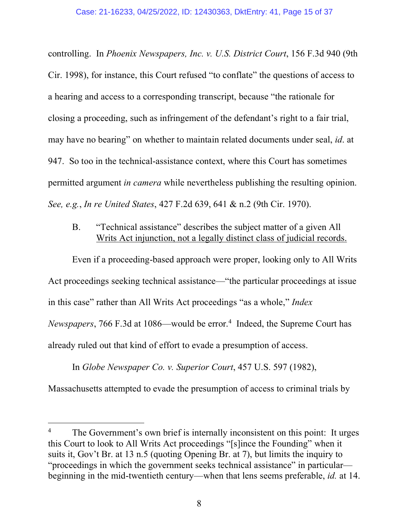controlling. In *Phoenix Newspapers, Inc. v. U.S. District Court*, 156 F.3d 940 (9th Cir. 1998), for instance, this Court refused "to conflate" the questions of access to a hearing and access to a corresponding transcript, because "the rationale for closing a proceeding, such as infringement of the defendant's right to a fair trial, may have no bearing" on whether to maintain related documents under seal, *id*. at 947.So too in the technical-assistance context, where this Court has sometimes permitted argument *in camera* while nevertheless publishing the resulting opinion. *See, e.g.*, *In re United States*, 427 F.2d 639, 641 & n.2 (9th Cir. 1970).

B. "Technical assistance" describes the subject matter of a given All Writs Act injunction, not a legally distinct class of judicial records.

Even if a proceeding-based approach were proper, looking only to All Writs Act proceedings seeking technical assistance—"the particular proceedings at issue in this case" rather than All Writs Act proceedings "as a whole," *Index*  Newspapers, 766 F.3d at 1086—would be error.<sup>4</sup> Indeed, the Supreme Court has already ruled out that kind of effort to evade a presumption of access.

In *Globe Newspaper Co. v. Superior Court*, 457 U.S. 597 (1982), Massachusetts attempted to evade the presumption of access to criminal trials by

The Government's own brief is internally inconsistent on this point: It urges this Court to look to All Writs Act proceedings "[s]ince the Founding" when it suits it, Gov't Br. at 13 n.5 (quoting Opening Br. at 7), but limits the inquiry to "proceedings in which the government seeks technical assistance" in particular beginning in the mid-twentieth century—when that lens seems preferable, *id.* at 14.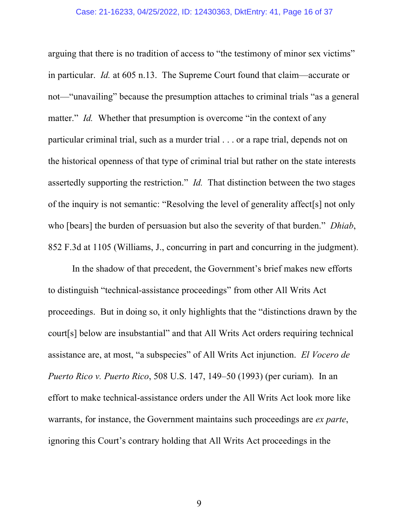#### Case: 21-16233, 04/25/2022, ID: 12430363, DktEntry: 41, Page 16 of 37

arguing that there is no tradition of access to "the testimony of minor sex victims" in particular. *Id.* at 605 n.13. The Supreme Court found that claim—accurate or not—"unavailing" because the presumption attaches to criminal trials "as a general matter." *Id.* Whether that presumption is overcome "in the context of any particular criminal trial, such as a murder trial . . . or a rape trial, depends not on the historical openness of that type of criminal trial but rather on the state interests assertedly supporting the restriction." *Id.* That distinction between the two stages of the inquiry is not semantic: "Resolving the level of generality affect[s] not only who [bears] the burden of persuasion but also the severity of that burden." *Dhiab*, 852 F.3d at 1105 (Williams, J., concurring in part and concurring in the judgment).

In the shadow of that precedent, the Government's brief makes new efforts to distinguish "technical-assistance proceedings" from other All Writs Act proceedings. But in doing so, it only highlights that the "distinctions drawn by the court[s] below are insubstantial" and that All Writs Act orders requiring technical assistance are, at most, "a subspecies" of All Writs Act injunction. *El Vocero de Puerto Rico v. Puerto Rico*, 508 U.S. 147, 149–50 (1993) (per curiam). In an effort to make technical-assistance orders under the All Writs Act look more like warrants, for instance, the Government maintains such proceedings are *ex parte*, ignoring this Court's contrary holding that All Writs Act proceedings in the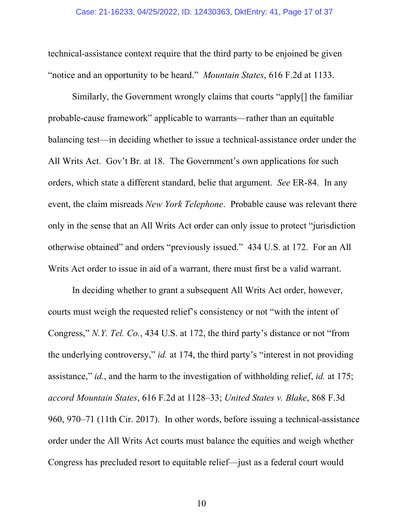technical-assistance context require that the third party to be enjoined be given "notice and an opportunity to be heard." *Mountain States*, 616 F.2d at 1133.

Similarly, the Government wrongly claims that courts "apply[] the familiar probable-cause framework" applicable to warrants—rather than an equitable balancing test—in deciding whether to issue a technical-assistance order under the All Writs Act. Gov't Br. at 18. The Government's own applications for such orders, which state a different standard, belie that argument. *See* ER-84. In any event, the claim misreads *New York Telephone*. Probable cause was relevant there only in the sense that an All Writs Act order can only issue to protect "jurisdiction otherwise obtained" and orders "previously issued." 434 U.S. at 172. For an All Writs Act order to issue in aid of a warrant, there must first be a valid warrant.

In deciding whether to grant a subsequent All Writs Act order, however, courts must weigh the requested relief's consistency or not "with the intent of Congress," *N.Y. Tel. Co.*, 434 U.S. at 172, the third party's distance or not "from the underlying controversy," *id.* at 174, the third party's "interest in not providing assistance," *id.*, and the harm to the investigation of withholding relief, *id.* at 175; *accord Mountain States*, 616 F.2d at 1128–33; *United States v. Blake*, 868 F.3d 960, 970–71 (11th Cir. 2017). In other words, before issuing a technical-assistance order under the All Writs Act courts must balance the equities and weigh whether Congress has precluded resort to equitable relief—just as a federal court would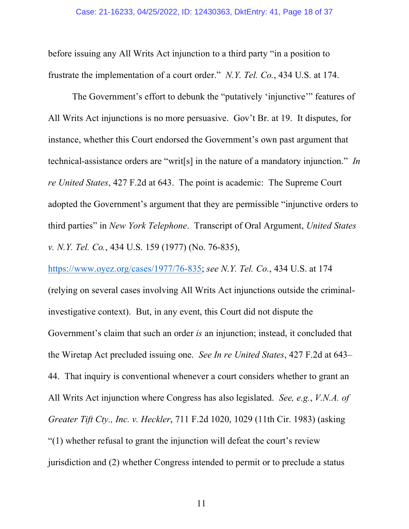before issuing any All Writs Act injunction to a third party "in a position to frustrate the implementation of a court order." *N.Y. Tel. Co.*, 434 U.S. at 174.

The Government's effort to debunk the "putatively 'injunctive'" features of All Writs Act injunctions is no more persuasive. Gov't Br. at 19. It disputes, for instance, whether this Court endorsed the Government's own past argument that technical-assistance orders are "writ[s] in the nature of a mandatory injunction." *In re United States*, 427 F.2d at 643. The point is academic: The Supreme Court adopted the Government's argument that they are permissible "injunctive orders to third parties" in *New York Telephone*. Transcript of Oral Argument, *United States v. N.Y. Tel. Co.*, 434 U.S. 159 (1977) (No. 76-835),

(relying on several cases involving All Writs Act injunctions outside the criminalinvestigative context). But, in any event, this Court did not dispute the Government's claim that such an order *is* an injunction; instead, it concluded that the Wiretap Act precluded issuing one. *See In re United States*, 427 F.2d at 643– 44. That inquiry is conventional whenever a court considers whether to grant an All Writs Act injunction where Congress has also legislated. *See, e.g.*, *V.N.A. of Greater Tift Cty., Inc. v. Heckler*, 711 F.2d 1020, 1029 (11th Cir. 1983) (asking "(1) whether refusal to grant the injunction will defeat the court's review jurisdiction and (2) whether Congress intended to permit or to preclude a status

https://www.oyez.org/cases/1977/76-835; *see N.Y. Tel. Co.*, 434 U.S. at 174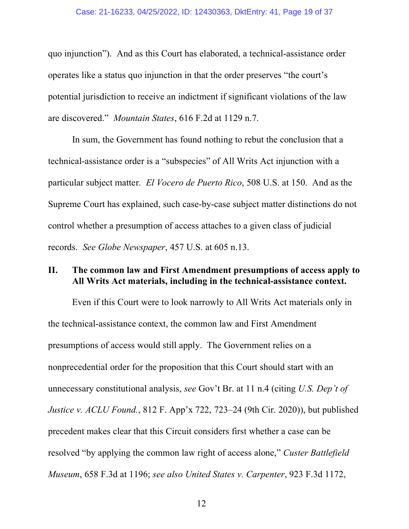quo injunction"). And as this Court has elaborated, a technical-assistance order operates like a status quo injunction in that the order preserves "the court's potential jurisdiction to receive an indictment if significant violations of the law are discovered." *Mountain States*, 616 F.2d at 1129 n.7.

In sum, the Government has found nothing to rebut the conclusion that a technical-assistance order is a "subspecies" of All Writs Act injunction with a particular subject matter. *El Vocero de Puerto Rico*, 508 U.S. at 150. And as the Supreme Court has explained, such case-by-case subject matter distinctions do not control whether a presumption of access attaches to a given class of judicial records. *See Globe Newspaper*, 457 U.S. at 605 n.13.

### **II. The common law and First Amendment presumptions of access apply to All Writs Act materials, including in the technical-assistance context.**

Even if this Court were to look narrowly to All Writs Act materials only in the technical-assistance context, the common law and First Amendment presumptions of access would still apply. The Government relies on a nonprecedential order for the proposition that this Court should start with an unnecessary constitutional analysis, *see* Gov't Br. at 11 n.4 (citing *U.S. Dep't of Justice v. ACLU Found.*, 812 F. App'x 722, 723–24 (9th Cir. 2020)), but published precedent makes clear that this Circuit considers first whether a case can be resolved "by applying the common law right of access alone," *Custer Battlefield Museum*, 658 F.3d at 1196; *see also United States v. Carpenter*, 923 F.3d 1172,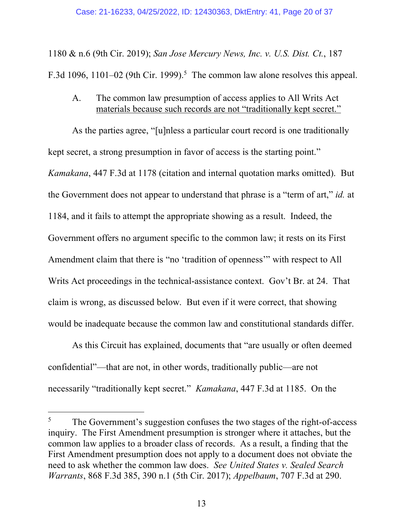1180 & n.6 (9th Cir. 2019); *San Jose Mercury News, Inc. v. U.S. Dist. Ct.*, 187 F.3d 1096, 1101–02 (9th Cir. 1999).<sup>5</sup> The common law alone resolves this appeal.

### A. The common law presumption of access applies to All Writs Act materials because such records are not "traditionally kept secret."

As the parties agree, "[u]nless a particular court record is one traditionally kept secret, a strong presumption in favor of access is the starting point." *Kamakana*, 447 F.3d at 1178 (citation and internal quotation marks omitted). But the Government does not appear to understand that phrase is a "term of art," *id.* at 1184, and it fails to attempt the appropriate showing as a result. Indeed, the Government offers no argument specific to the common law; it rests on its First Amendment claim that there is "no 'tradition of openness'" with respect to All Writs Act proceedings in the technical-assistance context. Gov't Br. at 24. That claim is wrong, as discussed below. But even if it were correct, that showing would be inadequate because the common law and constitutional standards differ.

As this Circuit has explained, documents that "are usually or often deemed confidential"—that are not, in other words, traditionally public—are not necessarily "traditionally kept secret." *Kamakana*, 447 F.3d at 1185. On the

l

<sup>&</sup>lt;sup>5</sup> The Government's suggestion confuses the two stages of the right-of-access inquiry. The First Amendment presumption is stronger where it attaches, but the common law applies to a broader class of records. As a result, a finding that the First Amendment presumption does not apply to a document does not obviate the need to ask whether the common law does. *See United States v. Sealed Search Warrants*, 868 F.3d 385, 390 n.1 (5th Cir. 2017); *Appelbaum*, 707 F.3d at 290.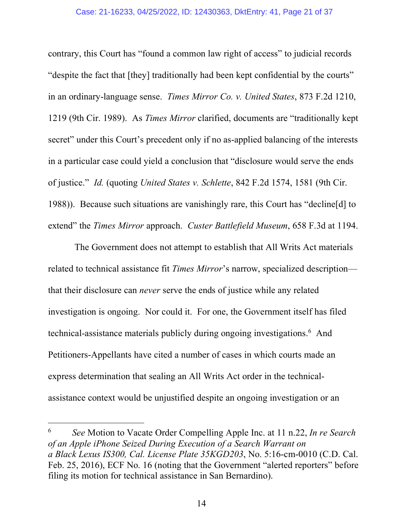#### Case: 21-16233, 04/25/2022, ID: 12430363, DktEntry: 41, Page 21 of 37

contrary, this Court has "found a common law right of access" to judicial records "despite the fact that [they] traditionally had been kept confidential by the courts" in an ordinary-language sense. *Times Mirror Co. v. United States*, 873 F.2d 1210, 1219 (9th Cir. 1989). As *Times Mirror* clarified, documents are "traditionally kept secret" under this Court's precedent only if no as-applied balancing of the interests in a particular case could yield a conclusion that "disclosure would serve the ends of justice." *Id.* (quoting *United States v. Schlette*, 842 F.2d 1574, 1581 (9th Cir. 1988)). Because such situations are vanishingly rare, this Court has "decline[d] to extend" the *Times Mirror* approach. *Custer Battlefield Museum*, 658 F.3d at 1194.

The Government does not attempt to establish that All Writs Act materials related to technical assistance fit *Times Mirror*'s narrow, specialized description that their disclosure can *never* serve the ends of justice while any related investigation is ongoing. Nor could it. For one, the Government itself has filed technical-assistance materials publicly during ongoing investigations. 6 And Petitioners-Appellants have cited a number of cases in which courts made an express determination that sealing an All Writs Act order in the technicalassistance context would be unjustified despite an ongoing investigation or an

<sup>6</sup> *See* Motion to Vacate Order Compelling Apple Inc. at 11 n.22, *In re Search of an Apple iPhone Seized During Execution of a Search Warrant on a Black Lexus IS300, Cal. License Plate 35KGD203*, No. 5:16-cm-0010 (C.D. Cal. Feb. 25, 2016), ECF No. 16 (noting that the Government "alerted reporters" before filing its motion for technical assistance in San Bernardino).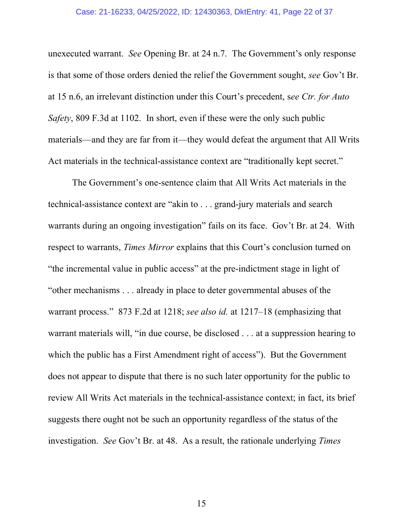#### Case: 21-16233, 04/25/2022, ID: 12430363, DktEntry: 41, Page 22 of 37

unexecuted warrant. *See* Opening Br. at 24 n.7. The Government's only response is that some of those orders denied the relief the Government sought, *see* Gov't Br. at 15 n.6, an irrelevant distinction under this Court's precedent, s*ee Ctr. for Auto Safety*, 809 F.3d at 1102. In short, even if these were the only such public materials—and they are far from it—they would defeat the argument that All Writs Act materials in the technical-assistance context are "traditionally kept secret."

The Government's one-sentence claim that All Writs Act materials in the technical-assistance context are "akin to . . . grand-jury materials and search warrants during an ongoing investigation" fails on its face. Gov't Br. at 24. With respect to warrants, *Times Mirror* explains that this Court's conclusion turned on "the incremental value in public access" at the pre-indictment stage in light of "other mechanisms . . . already in place to deter governmental abuses of the warrant process." 873 F.2d at 1218; *see also id.* at 1217–18 (emphasizing that warrant materials will, "in due course, be disclosed . . . at a suppression hearing to which the public has a First Amendment right of access"). But the Government does not appear to dispute that there is no such later opportunity for the public to review All Writs Act materials in the technical-assistance context; in fact, its brief suggests there ought not be such an opportunity regardless of the status of the investigation. *See* Gov't Br. at 48. As a result, the rationale underlying *Times*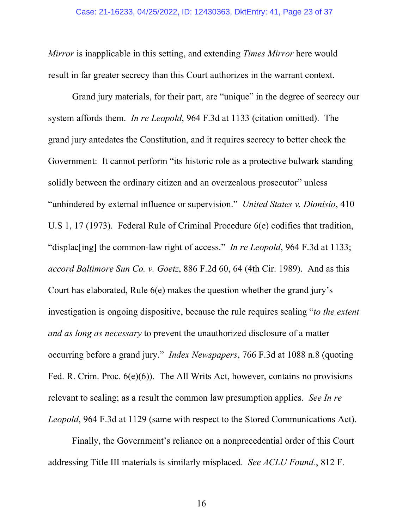*Mirror* is inapplicable in this setting, and extending *Times Mirror* here would result in far greater secrecy than this Court authorizes in the warrant context.

Grand jury materials, for their part, are "unique" in the degree of secrecy our system affords them. *In re Leopold*, 964 F.3d at 1133 (citation omitted). The grand jury antedates the Constitution, and it requires secrecy to better check the Government: It cannot perform "its historic role as a protective bulwark standing solidly between the ordinary citizen and an overzealous prosecutor" unless "unhindered by external influence or supervision." *United States v. Dionisio*, 410 U.S 1, 17 (1973). Federal Rule of Criminal Procedure 6(e) codifies that tradition, "displac[ing] the common-law right of access." *In re Leopold*, 964 F.3d at 1133; *accord Baltimore Sun Co. v. Goetz*, 886 F.2d 60, 64 (4th Cir. 1989). And as this Court has elaborated, Rule 6(e) makes the question whether the grand jury's investigation is ongoing dispositive, because the rule requires sealing "*to the extent and as long as necessary* to prevent the unauthorized disclosure of a matter occurring before a grand jury." *Index Newspapers*, 766 F.3d at 1088 n.8 (quoting Fed. R. Crim. Proc. 6(e)(6)). The All Writs Act, however, contains no provisions relevant to sealing; as a result the common law presumption applies. *See In re Leopold*, 964 F.3d at 1129 (same with respect to the Stored Communications Act).

Finally, the Government's reliance on a nonprecedential order of this Court addressing Title III materials is similarly misplaced. *See ACLU Found.*, 812 F.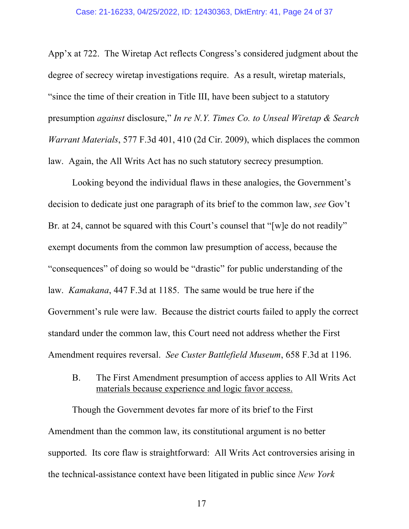App'x at 722. The Wiretap Act reflects Congress's considered judgment about the degree of secrecy wiretap investigations require. As a result, wiretap materials, "since the time of their creation in Title III, have been subject to a statutory presumption *against* disclosure," *In re N.Y. Times Co. to Unseal Wiretap & Search Warrant Materials*, 577 F.3d 401, 410 (2d Cir. 2009), which displaces the common law. Again, the All Writs Act has no such statutory secrecy presumption.

Looking beyond the individual flaws in these analogies, the Government's decision to dedicate just one paragraph of its brief to the common law, *see* Gov't Br. at 24, cannot be squared with this Court's counsel that "[w]e do not readily" exempt documents from the common law presumption of access, because the "consequences" of doing so would be "drastic" for public understanding of the law. *Kamakana*, 447 F.3d at 1185. The same would be true here if the Government's rule were law. Because the district courts failed to apply the correct standard under the common law, this Court need not address whether the First Amendment requires reversal. *See Custer Battlefield Museum*, 658 F.3d at 1196.

B. The First Amendment presumption of access applies to All Writs Act materials because experience and logic favor access.

Though the Government devotes far more of its brief to the First Amendment than the common law, its constitutional argument is no better supported. Its core flaw is straightforward: All Writs Act controversies arising in the technical-assistance context have been litigated in public since *New York*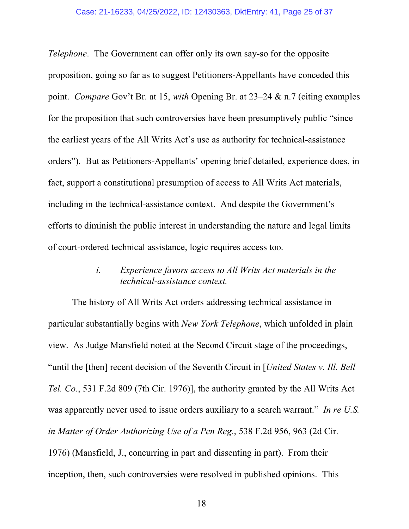#### Case: 21-16233, 04/25/2022, ID: 12430363, DktEntry: 41, Page 25 of 37

*Telephone*. The Government can offer only its own say-so for the opposite proposition, going so far as to suggest Petitioners-Appellants have conceded this point. *Compare* Gov't Br. at 15, *with* Opening Br. at 23–24 & n.7 (citing examples for the proposition that such controversies have been presumptively public "since the earliest years of the All Writs Act's use as authority for technical-assistance orders"). But as Petitioners-Appellants' opening brief detailed, experience does, in fact, support a constitutional presumption of access to All Writs Act materials, including in the technical-assistance context. And despite the Government's efforts to diminish the public interest in understanding the nature and legal limits of court-ordered technical assistance, logic requires access too.

## *i. Experience favors access to All Writs Act materials in the technical-assistance context.*

The history of All Writs Act orders addressing technical assistance in particular substantially begins with *New York Telephone*, which unfolded in plain view. As Judge Mansfield noted at the Second Circuit stage of the proceedings, "until the [then] recent decision of the Seventh Circuit in [*United States v. Ill. Bell Tel. Co.*, 531 F.2d 809 (7th Cir. 1976)], the authority granted by the All Writs Act was apparently never used to issue orders auxiliary to a search warrant." *In re U.S. in Matter of Order Authorizing Use of a Pen Reg.*, 538 F.2d 956, 963 (2d Cir. 1976) (Mansfield, J., concurring in part and dissenting in part). From their inception, then, such controversies were resolved in published opinions. This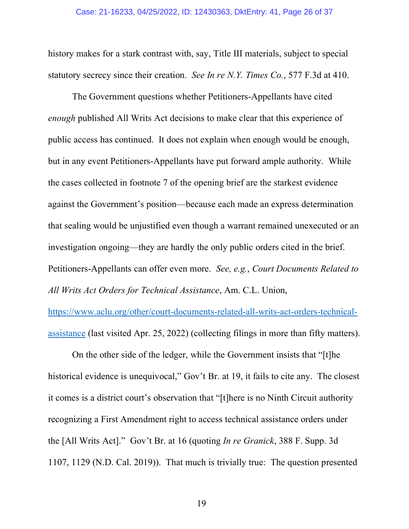#### Case: 21-16233, 04/25/2022, ID: 12430363, DktEntry: 41, Page 26 of 37

history makes for a stark contrast with, say, Title III materials, subject to special statutory secrecy since their creation. *See In re N.Y. Times Co.*, 577 F.3d at 410.

The Government questions whether Petitioners-Appellants have cited *enough* published All Writs Act decisions to make clear that this experience of public access has continued. It does not explain when enough would be enough, but in any event Petitioners-Appellants have put forward ample authority. While the cases collected in footnote 7 of the opening brief are the starkest evidence against the Government's position––because each made an express determination that sealing would be unjustified even though a warrant remained unexecuted or an investigation ongoing––they are hardly the only public orders cited in the brief. Petitioners-Appellants can offer even more. *See, e.g.*, *Court Documents Related to All Writs Act Orders for Technical Assistance*, Am. C.L. Union,

https://www.aclu.org/other/court-documents-related-all-writs-act-orders-technicalassistance (last visited Apr. 25, 2022) (collecting filings in more than fifty matters).

On the other side of the ledger, while the Government insists that "[t]he historical evidence is unequivocal," Gov't Br. at 19, it fails to cite any. The closest it comes is a district court's observation that "[t]here is no Ninth Circuit authority recognizing a First Amendment right to access technical assistance orders under the [All Writs Act]." Gov't Br. at 16 (quoting *In re Granick*, 388 F. Supp. 3d 1107, 1129 (N.D. Cal. 2019)). That much is trivially true: The question presented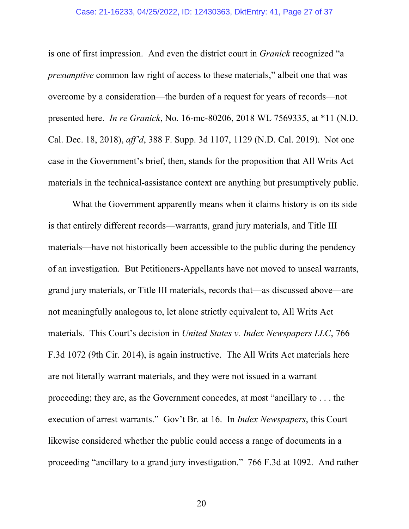#### Case: 21-16233, 04/25/2022, ID: 12430363, DktEntry: 41, Page 27 of 37

is one of first impression. And even the district court in *Granick* recognized "a *presumptive* common law right of access to these materials," albeit one that was overcome by a consideration—the burden of a request for years of records—not presented here. *In re Granick*, No. 16-mc-80206, 2018 WL 7569335, at \*11 (N.D. Cal. Dec. 18, 2018), *aff'd*, 388 F. Supp. 3d 1107, 1129 (N.D. Cal. 2019). Not one case in the Government's brief, then, stands for the proposition that All Writs Act materials in the technical-assistance context are anything but presumptively public.

What the Government apparently means when it claims history is on its side is that entirely different records—warrants, grand jury materials, and Title III materials—have not historically been accessible to the public during the pendency of an investigation. But Petitioners-Appellants have not moved to unseal warrants, grand jury materials, or Title III materials, records that—as discussed above—are not meaningfully analogous to, let alone strictly equivalent to, All Writs Act materials. This Court's decision in *United States v. Index Newspapers LLC*, 766 F.3d 1072 (9th Cir. 2014), is again instructive. The All Writs Act materials here are not literally warrant materials, and they were not issued in a warrant proceeding; they are, as the Government concedes, at most "ancillary to . . . the execution of arrest warrants." Gov't Br. at 16. In *Index Newspapers*, this Court likewise considered whether the public could access a range of documents in a proceeding "ancillary to a grand jury investigation." 766 F.3d at 1092. And rather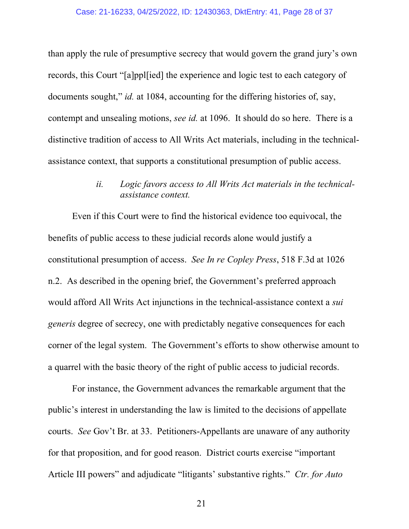than apply the rule of presumptive secrecy that would govern the grand jury's own records, this Court "[a]ppl[ied] the experience and logic test to each category of documents sought," *id.* at 1084, accounting for the differing histories of, say, contempt and unsealing motions, *see id.* at 1096. It should do so here. There is a distinctive tradition of access to All Writs Act materials, including in the technicalassistance context, that supports a constitutional presumption of public access.

### *ii. Logic favors access to All Writs Act materials in the technicalassistance context.*

Even if this Court were to find the historical evidence too equivocal, the benefits of public access to these judicial records alone would justify a constitutional presumption of access. *See In re Copley Press*, 518 F.3d at 1026 n.2. As described in the opening brief, the Government's preferred approach would afford All Writs Act injunctions in the technical-assistance context a *sui generis* degree of secrecy, one with predictably negative consequences for each corner of the legal system. The Government's efforts to show otherwise amount to a quarrel with the basic theory of the right of public access to judicial records.

For instance, the Government advances the remarkable argument that the public's interest in understanding the law is limited to the decisions of appellate courts. *See* Gov't Br. at 33. Petitioners-Appellants are unaware of any authority for that proposition, and for good reason. District courts exercise "important Article III powers" and adjudicate "litigants' substantive rights." *Ctr. for Auto*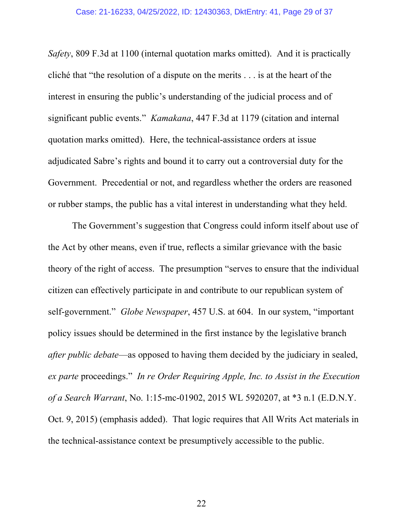*Safety*, 809 F.3d at 1100 (internal quotation marks omitted). And it is practically cliché that "the resolution of a dispute on the merits . . . is at the heart of the interest in ensuring the public's understanding of the judicial process and of significant public events." *Kamakana*, 447 F.3d at 1179 (citation and internal quotation marks omitted). Here, the technical-assistance orders at issue adjudicated Sabre's rights and bound it to carry out a controversial duty for the Government. Precedential or not, and regardless whether the orders are reasoned or rubber stamps, the public has a vital interest in understanding what they held.

The Government's suggestion that Congress could inform itself about use of the Act by other means, even if true, reflects a similar grievance with the basic theory of the right of access. The presumption "serves to ensure that the individual citizen can effectively participate in and contribute to our republican system of self-government." *Globe Newspaper*, 457 U.S. at 604. In our system, "important policy issues should be determined in the first instance by the legislative branch *after public debate*—as opposed to having them decided by the judiciary in sealed, *ex parte* proceedings." *In re Order Requiring Apple, Inc. to Assist in the Execution of a Search Warrant*, No. 1:15-mc-01902, 2015 WL 5920207, at \*3 n.1 (E.D.N.Y. Oct. 9, 2015) (emphasis added). That logic requires that All Writs Act materials in the technical-assistance context be presumptively accessible to the public.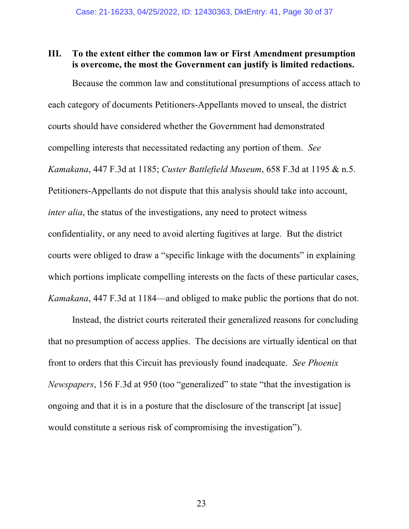### **III. To the extent either the common law or First Amendment presumption is overcome, the most the Government can justify is limited redactions.**

Because the common law and constitutional presumptions of access attach to each category of documents Petitioners-Appellants moved to unseal, the district courts should have considered whether the Government had demonstrated compelling interests that necessitated redacting any portion of them. *See Kamakana*, 447 F.3d at 1185; *Custer Battlefield Museum*, 658 F.3d at 1195 & n.5. Petitioners-Appellants do not dispute that this analysis should take into account, *inter alia*, the status of the investigations, any need to protect witness confidentiality, or any need to avoid alerting fugitives at large. But the district courts were obliged to draw a "specific linkage with the documents" in explaining which portions implicate compelling interests on the facts of these particular cases, *Kamakana*, 447 F.3d at 1184—and obliged to make public the portions that do not.

Instead, the district courts reiterated their generalized reasons for concluding that no presumption of access applies. The decisions are virtually identical on that front to orders that this Circuit has previously found inadequate. *See Phoenix Newspapers*, 156 F.3d at 950 (too "generalized" to state "that the investigation is ongoing and that it is in a posture that the disclosure of the transcript [at issue] would constitute a serious risk of compromising the investigation").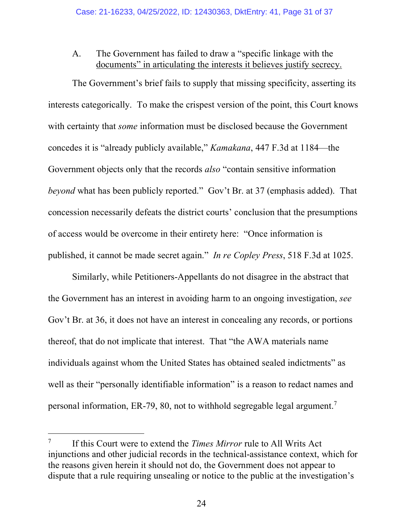### A. The Government has failed to draw a "specific linkage with the documents" in articulating the interests it believes justify secrecy.

The Government's brief fails to supply that missing specificity, asserting its interests categorically. To make the crispest version of the point, this Court knows with certainty that *some* information must be disclosed because the Government concedes it is "already publicly available," *Kamakana*, 447 F.3d at 1184—the Government objects only that the records *also* "contain sensitive information *beyond* what has been publicly reported." Gov't Br. at 37 (emphasis added). That concession necessarily defeats the district courts' conclusion that the presumptions of access would be overcome in their entirety here: "Once information is published, it cannot be made secret again." *In re Copley Press*, 518 F.3d at 1025.

Similarly, while Petitioners-Appellants do not disagree in the abstract that the Government has an interest in avoiding harm to an ongoing investigation, *see*  Gov't Br. at 36, it does not have an interest in concealing any records, or portions thereof, that do not implicate that interest. That "the AWA materials name individuals against whom the United States has obtained sealed indictments" as well as their "personally identifiable information" is a reason to redact names and personal information, ER-79, 80, not to withhold segregable legal argument.7

<sup>7</sup> If this Court were to extend the *Times Mirror* rule to All Writs Act injunctions and other judicial records in the technical-assistance context, which for the reasons given herein it should not do, the Government does not appear to dispute that a rule requiring unsealing or notice to the public at the investigation's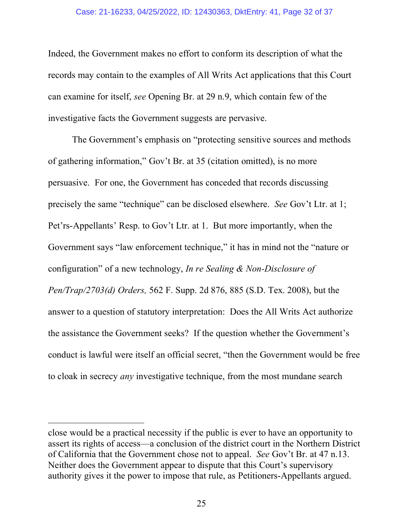#### Case: 21-16233, 04/25/2022, ID: 12430363, DktEntry: 41, Page 32 of 37

Indeed, the Government makes no effort to conform its description of what the records may contain to the examples of All Writs Act applications that this Court can examine for itself, *see* Opening Br. at 29 n.9, which contain few of the investigative facts the Government suggests are pervasive.

The Government's emphasis on "protecting sensitive sources and methods of gathering information," Gov't Br. at 35 (citation omitted), is no more persuasive. For one, the Government has conceded that records discussing precisely the same "technique" can be disclosed elsewhere. *See* Gov't Ltr. at 1; Pet'rs-Appellants' Resp. to Gov't Ltr. at 1. But more importantly, when the Government says "law enforcement technique," it has in mind not the "nature or configuration" of a new technology, *In re Sealing & Non-Disclosure of Pen/Trap/2703(d) Orders,* 562 F. Supp. 2d 876, 885 (S.D. Tex. 2008), but the answer to a question of statutory interpretation: Does the All Writs Act authorize the assistance the Government seeks? If the question whether the Government's conduct is lawful were itself an official secret, "then the Government would be free to cloak in secrecy *any* investigative technique, from the most mundane search

close would be a practical necessity if the public is ever to have an opportunity to assert its rights of access—a conclusion of the district court in the Northern District of California that the Government chose not to appeal. *See* Gov't Br. at 47 n.13. Neither does the Government appear to dispute that this Court's supervisory authority gives it the power to impose that rule, as Petitioners-Appellants argued.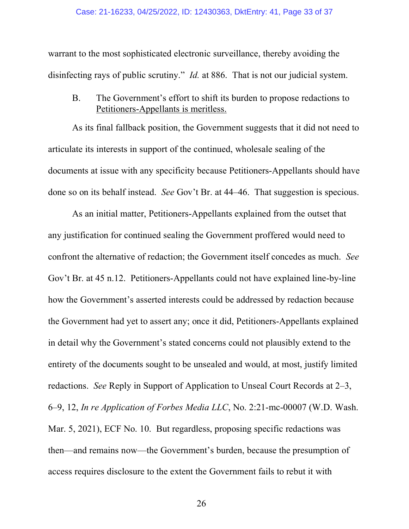warrant to the most sophisticated electronic surveillance, thereby avoiding the disinfecting rays of public scrutiny." *Id.* at 886. That is not our judicial system.

B. The Government's effort to shift its burden to propose redactions to Petitioners-Appellants is meritless.

As its final fallback position, the Government suggests that it did not need to articulate its interests in support of the continued, wholesale sealing of the documents at issue with any specificity because Petitioners-Appellants should have done so on its behalf instead. *See* Gov't Br. at 44–46. That suggestion is specious.

As an initial matter, Petitioners-Appellants explained from the outset that any justification for continued sealing the Government proffered would need to confront the alternative of redaction; the Government itself concedes as much. *See*  Gov't Br. at 45 n.12. Petitioners-Appellants could not have explained line-by-line how the Government's asserted interests could be addressed by redaction because the Government had yet to assert any; once it did, Petitioners-Appellants explained in detail why the Government's stated concerns could not plausibly extend to the entirety of the documents sought to be unsealed and would, at most, justify limited redactions. *See* Reply in Support of Application to Unseal Court Records at 2–3, 6–9, 12, *In re Application of Forbes Media LLC*, No. 2:21-mc-00007 (W.D. Wash. Mar. 5, 2021), ECF No. 10. But regardless, proposing specific redactions was then—and remains now—the Government's burden, because the presumption of access requires disclosure to the extent the Government fails to rebut it with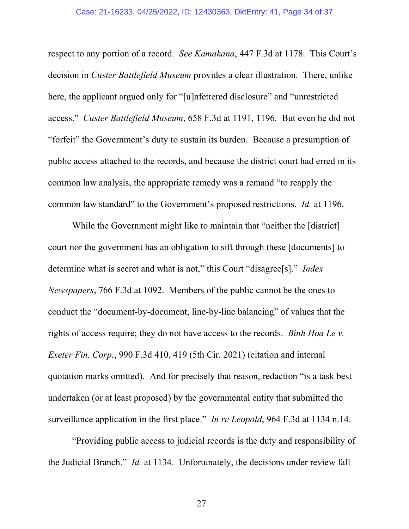#### Case: 21-16233, 04/25/2022, ID: 12430363, DktEntry: 41, Page 34 of 37

respect to any portion of a record. *See Kamakana*, 447 F.3d at 1178. This Court's decision in *Custer Battlefield Museum* provides a clear illustration. There, unlike here, the applicant argued only for "[u]nfettered disclosure" and "unrestricted access." *Custer Battlefield Museum*, 658 F.3d at 1191, 1196.But even he did not "forfeit" the Government's duty to sustain its burden. Because a presumption of public access attached to the records, and because the district court had erred in its common law analysis, the appropriate remedy was a remand "to reapply the common law standard" to the Government's proposed restrictions. *Id.* at 1196.

While the Government might like to maintain that "neither the [district] court nor the government has an obligation to sift through these [documents] to determine what is secret and what is not," this Court "disagree[s]." *Index Newspapers*, 766 F.3d at 1092. Members of the public cannot be the ones to conduct the "document-by-document, line-by-line balancing" of values that the rights of access require; they do not have access to the records. *Binh Hoa Le v. Exeter Fin. Corp.*, 990 F.3d 410, 419 (5th Cir. 2021) (citation and internal quotation marks omitted). And for precisely that reason, redaction "is a task best undertaken (or at least proposed) by the governmental entity that submitted the surveillance application in the first place." *In re Leopold*, 964 F.3d at 1134 n.14.

"Providing public access to judicial records is the duty and responsibility of the Judicial Branch." *Id.* at 1134. Unfortunately, the decisions under review fall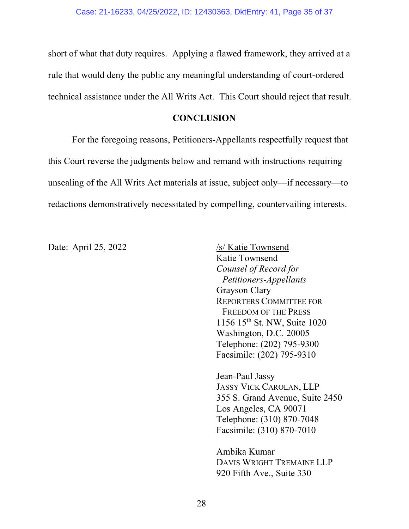short of what that duty requires. Applying a flawed framework, they arrived at a rule that would deny the public any meaningful understanding of court-ordered technical assistance under the All Writs Act. This Court should reject that result.

### **CONCLUSION**

For the foregoing reasons, Petitioners-Appellants respectfully request that this Court reverse the judgments below and remand with instructions requiring unsealing of the All Writs Act materials at issue, subject only—if necessary—to redactions demonstratively necessitated by compelling, countervailing interests.

Date: April 25, 2022 /s/ Katie Townsend Katie Townsend *Counsel of Record for Petitioners-Appellants* Grayson Clary REPORTERS COMMITTEE FOR FREEDOM OF THE PRESS 1156 15th St. NW, Suite 1020 Washington, D.C. 20005 Telephone: (202) 795-9300 Facsimile: (202) 795-9310

> Jean-Paul Jassy JASSY VICK CAROLAN, LLP 355 S. Grand Avenue, Suite 2450 Los Angeles, CA 90071 Telephone: (310) 870-7048 Facsimile: (310) 870-7010

Ambika Kumar DAVIS WRIGHT TREMAINE LLP 920 Fifth Ave., Suite 330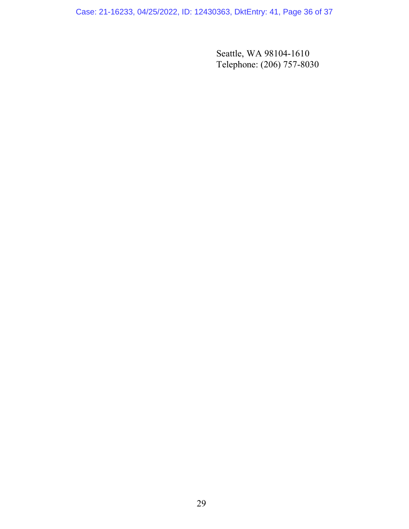Case: 21-16233, 04/25/2022, ID: 12430363, DktEntry: 41, Page 36 of 37

Seattle, WA 98104-1610 Telephone: (206) 757-8030